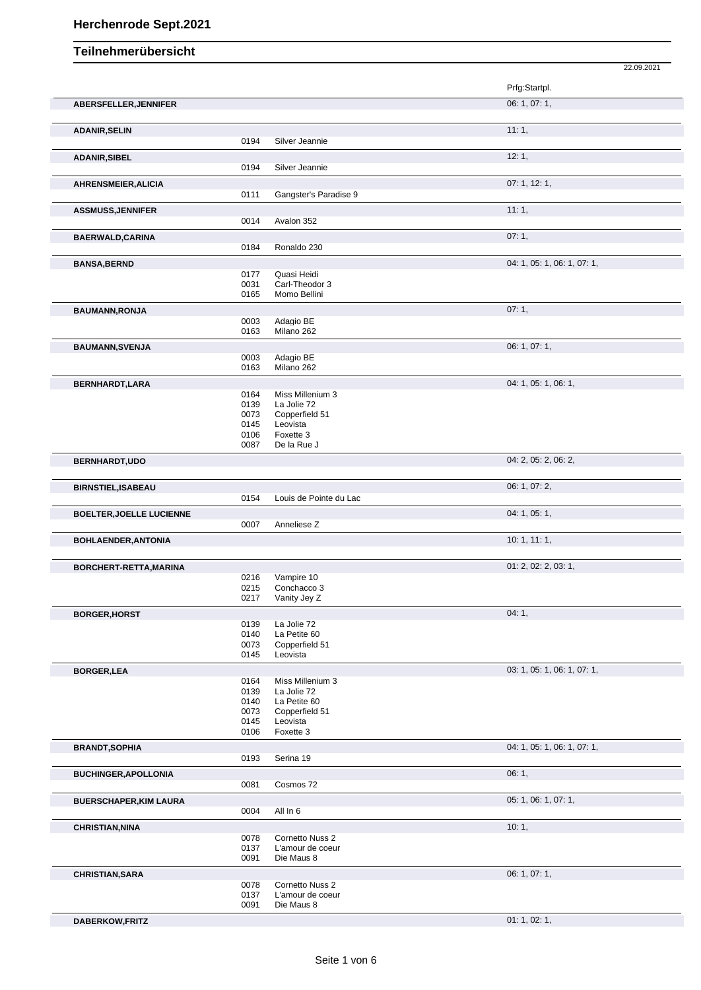|                                 |              |                                     | 22.09.2021                  |
|---------------------------------|--------------|-------------------------------------|-----------------------------|
|                                 |              |                                     | Prfg:Startpl.               |
| ABERSFELLER, JENNIFER           |              |                                     | 06: 1, 07: 1,               |
| <b>ADANIR, SELIN</b>            |              |                                     | 11:1,                       |
|                                 | 0194         | Silver Jeannie                      |                             |
| <b>ADANIR, SIBEL</b>            | 0194         | Silver Jeannie                      | 12:1,                       |
| <b>AHRENSMEIER, ALICIA</b>      |              |                                     | 07:1, 12:1,                 |
|                                 | 0111         | Gangster's Paradise 9               |                             |
| <b>ASSMUSS, JENNIFER</b>        | 0014         | Avalon 352                          | 11:1,                       |
|                                 |              |                                     | 07:1,                       |
| <b>BAERWALD, CARINA</b>         | 0184         | Ronaldo 230                         |                             |
| <b>BANSA, BERND</b>             |              |                                     | 04: 1, 05: 1, 06: 1, 07: 1, |
|                                 | 0177         | Quasi Heidi                         |                             |
|                                 | 0031<br>0165 | Carl-Theodor 3<br>Momo Bellini      |                             |
| <b>BAUMANN, RONJA</b>           |              |                                     | 07:1,                       |
|                                 | 0003         | Adagio BE                           |                             |
|                                 | 0163         | Milano 262                          |                             |
| <b>BAUMANN, SVENJA</b>          | 0003         | Adagio BE                           | 06: 1, 07: 1,               |
|                                 | 0163         | Milano 262                          |                             |
| BERNHARDT, LARA                 |              |                                     | 04: 1, 05: 1, 06: 1,        |
|                                 | 0164         | Miss Millenium 3                    |                             |
|                                 | 0139<br>0073 | La Jolie 72<br>Copperfield 51       |                             |
|                                 | 0145         | Leovista                            |                             |
|                                 | 0106         | Foxette 3                           |                             |
|                                 | 0087         | De la Rue J                         |                             |
| BERNHARDT, UDO                  |              |                                     | 04: 2, 05: 2, 06: 2,        |
| <b>BIRNSTIEL, ISABEAU</b>       |              |                                     | 06: 1, 07: 2,               |
|                                 | 0154         | Louis de Pointe du Lac              |                             |
| <b>BOELTER, JOELLE LUCIENNE</b> | 0007         | Anneliese Z                         | 04: 1, 05: 1,               |
| BOHLAENDER, ANTONIA             |              |                                     | 10:1, 11:1,                 |
|                                 |              |                                     |                             |
| BORCHERT-RETTA, MARINA          |              |                                     | 01: 2, 02: 2, 03: 1,        |
|                                 | 0216<br>0215 | Vampire 10<br>Conchacco 3           |                             |
|                                 | 0217         | Vanity Jey Z                        |                             |
| <b>BORGER, HORST</b>            |              |                                     | 04:1,                       |
|                                 | 0139         | La Jolie 72<br>La Petite 60         |                             |
|                                 | 0140<br>0073 | Copperfield 51                      |                             |
|                                 | 0145         | Leovista                            |                             |
| <b>BORGER,LEA</b>               |              |                                     | 03: 1, 05: 1, 06: 1, 07: 1, |
|                                 | 0164         | Miss Millenium 3                    |                             |
|                                 | 0139<br>0140 | La Jolie 72<br>La Petite 60         |                             |
|                                 | 0073         | Copperfield 51                      |                             |
|                                 | 0145         | Leovista                            |                             |
|                                 | 0106         | Foxette 3                           |                             |
| <b>BRANDT, SOPHIA</b>           | 0193         | Serina 19                           | 04: 1, 05: 1, 06: 1, 07: 1, |
| <b>BUCHINGER, APOLLONIA</b>     |              |                                     | 06:1,                       |
|                                 | 0081         | Cosmos 72                           |                             |
| <b>BUERSCHAPER, KIM LAURA</b>   |              |                                     | 05: 1, 06: 1, 07: 1,        |
|                                 | 0004         | All In 6                            |                             |
| <b>CHRISTIAN, NINA</b>          |              |                                     | 10:1,                       |
|                                 | 0078<br>0137 | Cornetto Nuss 2<br>L'amour de coeur |                             |
|                                 | 0091         | Die Maus 8                          |                             |
| <b>CHRISTIAN, SARA</b>          |              |                                     | 06: 1, 07: 1,               |
|                                 | 0078<br>0137 | Cornetto Nuss 2<br>L'amour de coeur |                             |
|                                 | 0091         | Die Maus 8                          |                             |
| <b>DABERKOW, FRITZ</b>          |              |                                     | 01: 1, 02: 1,               |
|                                 |              |                                     |                             |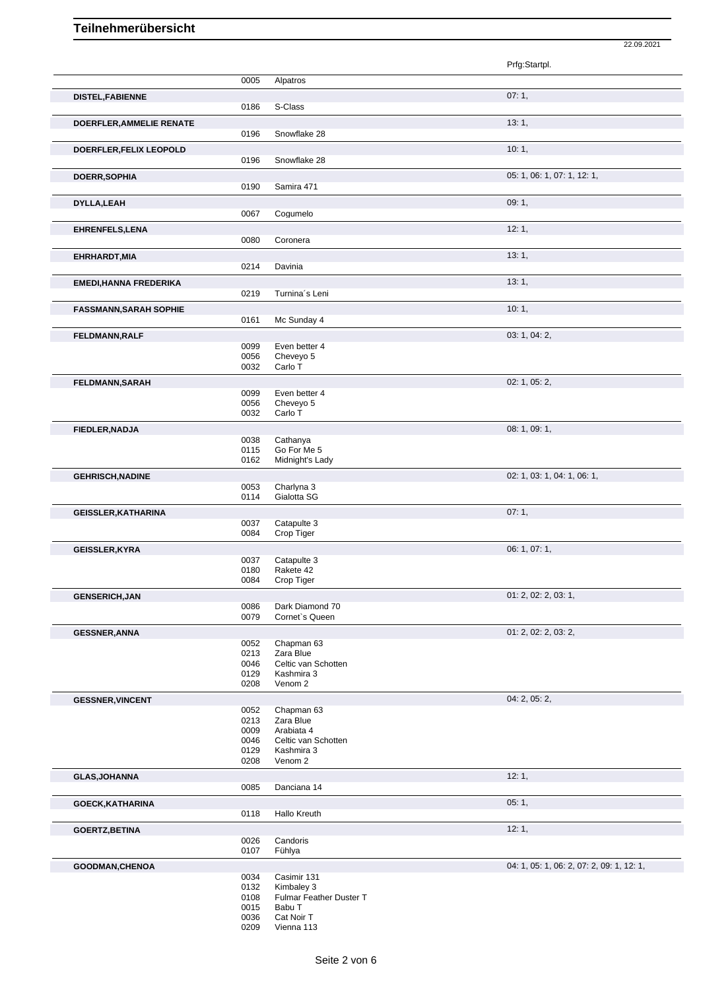|                               |              |                                       | 22.09.2021                                |
|-------------------------------|--------------|---------------------------------------|-------------------------------------------|
|                               |              |                                       | Prfg:Startpl.                             |
|                               | 0005         | Alpatros                              |                                           |
|                               |              |                                       |                                           |
| <b>DISTEL, FABIENNE</b>       | 0186         | S-Class                               | 07:1,                                     |
|                               |              |                                       | 13:1,                                     |
| DOERFLER, AMMELIE RENATE      | 0196         | Snowflake 28                          |                                           |
|                               |              |                                       | 10:1,                                     |
| DOERFLER, FELIX LEOPOLD       | 0196         | Snowflake 28                          |                                           |
| <b>DOERR, SOPHIA</b>          |              |                                       | 05: 1, 06: 1, 07: 1, 12: 1,               |
|                               | 0190         | Samira 471                            |                                           |
| DYLLA, LEAH                   |              |                                       | 09:1,                                     |
|                               | 0067         | Cogumelo                              |                                           |
| <b>EHRENFELS, LENA</b>        |              |                                       | 12:1,                                     |
|                               | 0080         | Coronera                              |                                           |
| EHRHARDT, MIA                 |              |                                       | 13:1,                                     |
|                               | 0214         | Davinia                               |                                           |
| <b>EMEDI, HANNA FREDERIKA</b> |              |                                       | 13:1,                                     |
|                               | 0219         | Turnina's Leni                        |                                           |
| <b>FASSMANN, SARAH SOPHIE</b> |              |                                       | 10:1,                                     |
|                               | 0161         | Mc Sunday 4                           |                                           |
| <b>FELDMANN, RALF</b>         |              |                                       | 03: 1, 04: 2,                             |
|                               | 0099         | Even better 4                         |                                           |
|                               | 0056<br>0032 | Cheveyo 5<br>Carlo T                  |                                           |
|                               |              |                                       |                                           |
| FELDMANN, SARAH               | 0099         | Even better 4                         | 02: 1, 05: 2,                             |
|                               | 0056         | Cheveyo 5                             |                                           |
|                               | 0032         | Carlo T                               |                                           |
| FIEDLER, NADJA                |              |                                       | 08: 1, 09: 1,                             |
|                               | 0038         | Cathanya                              |                                           |
|                               | 0115<br>0162 | Go For Me 5<br>Midnight's Lady        |                                           |
|                               |              |                                       | 02: 1, 03: 1, 04: 1, 06: 1,               |
| <b>GEHRISCH, NADINE</b>       | 0053         | Charlyna 3                            |                                           |
|                               | 0114         | Gialotta SG                           |                                           |
| <b>GEISSLER, KATHARINA</b>    |              |                                       | 07:1,                                     |
|                               | 0037         | Catapulte 3                           |                                           |
|                               | 0084         | Crop Tiger                            |                                           |
| <b>GEISSLER, KYRA</b>         |              |                                       | 06: 1, 07: 1,                             |
|                               | 0037<br>0180 | Catapulte 3<br>Rakete 42              |                                           |
|                               | 0084         | Crop Tiger                            |                                           |
| <b>GENSERICH, JAN</b>         |              |                                       | 01: 2, 02: 2, 03: 1,                      |
|                               | 0086         | Dark Diamond 70                       |                                           |
|                               | 0079         | Cornet's Queen                        |                                           |
| <b>GESSNER, ANNA</b>          |              |                                       | 01: 2, 02: 2, 03: 2,                      |
|                               | 0052<br>0213 | Chapman 63<br>Zara Blue               |                                           |
|                               | 0046         | Celtic van Schotten                   |                                           |
|                               | 0129         | Kashmira 3                            |                                           |
|                               | 0208         | Venom 2                               |                                           |
| <b>GESSNER, VINCENT</b>       |              |                                       | 04: 2, 05: 2,                             |
|                               | 0052<br>0213 | Chapman 63<br>Zara Blue               |                                           |
|                               | 0009         | Arabiata 4                            |                                           |
|                               | 0046         | Celtic van Schotten                   |                                           |
|                               | 0129<br>0208 | Kashmira 3<br>Venom 2                 |                                           |
|                               |              |                                       |                                           |
| <b>GLAS, JOHANNA</b>          | 0085         | Danciana 14                           | 12:1,                                     |
|                               |              |                                       | 05:1,                                     |
| <b>GOECK, KATHARINA</b>       | 0118         | Hallo Kreuth                          |                                           |
|                               |              |                                       |                                           |
| <b>GOERTZ, BETINA</b>         | 0026         | Candoris                              | 12:1,                                     |
|                               | 0107         | Fühlya                                |                                           |
| GOODMAN, CHENOA               |              |                                       | 04: 1, 05: 1, 06: 2, 07: 2, 09: 1, 12: 1, |
|                               | 0034         | Casimir 131                           |                                           |
|                               | 0132<br>0108 | Kimbaley 3<br>Fulmar Feather Duster T |                                           |
|                               | 0015         | Babu T                                |                                           |

<sup>0036</sup> Cat Noir T<br>0209 Vienna 113

Vienna 113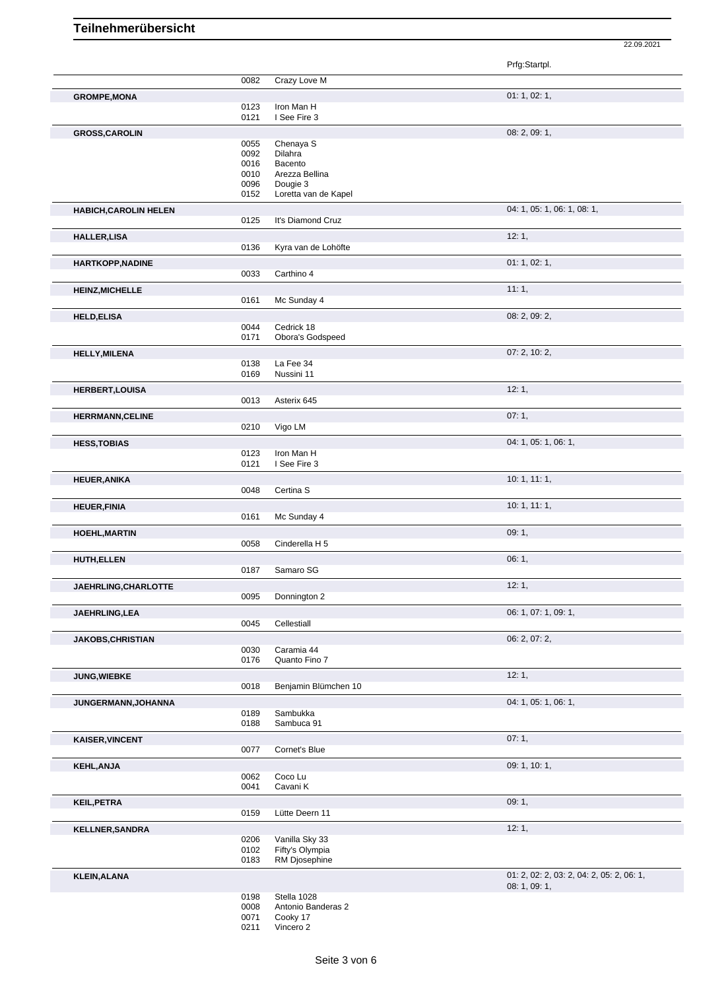22.09.2021

|                              |              |                       | Prfg:Startpl.                             |
|------------------------------|--------------|-----------------------|-------------------------------------------|
|                              | 0082         | Crazy Love M          |                                           |
| <b>GROMPE, MONA</b>          |              |                       | 01: 1, 02: 1,                             |
|                              | 0123         | Iron Man H            |                                           |
|                              | 0121         | I See Fire 3          |                                           |
| <b>GROSS, CAROLIN</b>        |              |                       | 08: 2, 09: 1,                             |
|                              | 0055         | Chenaya S             |                                           |
|                              | 0092         | Dilahra               |                                           |
|                              | 0016         | Bacento               |                                           |
|                              | 0010         | Arezza Bellina        |                                           |
|                              | 0096         | Dougie 3              |                                           |
|                              | 0152         | Loretta van de Kapel  |                                           |
| <b>HABICH, CAROLIN HELEN</b> |              |                       | 04: 1, 05: 1, 06: 1, 08: 1,               |
|                              | 0125         | It's Diamond Cruz     |                                           |
| <b>HALLER, LISA</b>          |              |                       | 12:1,                                     |
|                              | 0136         | Kyra van de Lohöfte   |                                           |
| <b>HARTKOPP, NADINE</b>      |              |                       | 01: 1, 02: 1,                             |
|                              | 0033         | Carthino 4            |                                           |
| <b>HEINZ, MICHELLE</b>       |              |                       | 11:1,                                     |
|                              | 0161         | Mc Sunday 4           |                                           |
|                              |              |                       |                                           |
| <b>HELD, ELISA</b>           | 0044         | Cedrick 18            | 08: 2, 09: 2,                             |
|                              | 0171         | Obora's Godspeed      |                                           |
|                              |              |                       |                                           |
| <b>HELLY, MILENA</b>         |              | La Fee 34             | 07: 2, 10: 2,                             |
|                              | 0138<br>0169 | Nussini 11            |                                           |
|                              |              |                       |                                           |
| <b>HERBERT, LOUISA</b>       |              |                       | 12:1,                                     |
|                              | 0013         | Asterix 645           |                                           |
| <b>HERRMANN, CELINE</b>      |              |                       | 07:1,                                     |
|                              | 0210         | Vigo LM               |                                           |
| <b>HESS, TOBIAS</b>          |              |                       | 04: 1, 05: 1, 06: 1,                      |
|                              | 0123         | Iron Man H            |                                           |
|                              | 0121         | I See Fire 3          |                                           |
| <b>HEUER, ANIKA</b>          |              |                       | 10:1, 11:1,                               |
|                              | 0048         | Certina <sub>S</sub>  |                                           |
|                              |              |                       | 10:1, 11:1,                               |
| <b>HEUER, FINIA</b>          | 0161         | Mc Sunday 4           |                                           |
|                              |              |                       |                                           |
| <b>HOEHL, MARTIN</b>         | 0058         | Cinderella H 5        | 09:1,                                     |
|                              |              |                       |                                           |
| <b>HUTH, ELLEN</b>           |              |                       | 06:1,                                     |
|                              | 0187         | Samaro SG             |                                           |
| JAEHRLING, CHARLOTTE         |              |                       | 12:1,                                     |
|                              | 0095         | Donnington 2          |                                           |
| JAEHRLING, LEA               |              |                       | 06: 1, 07: 1, 09: 1,                      |
|                              | 0045         | Cellestiall           |                                           |
| <b>JAKOBS, CHRISTIAN</b>     |              |                       | 06: 2, 07: 2,                             |
|                              | 0030         | Caramia 44            |                                           |
|                              | 0176         | Quanto Fino 7         |                                           |
| JUNG, WIEBKE                 |              |                       | 12:1,                                     |
|                              | 0018         | Benjamin Blümchen 10  |                                           |
|                              |              |                       |                                           |
| JUNGERMANN, JOHANNA          | 0189         | Sambukka              | 04: 1, 05: 1, 06: 1,                      |
|                              | 0188         | Sambuca 91            |                                           |
|                              |              |                       |                                           |
| <b>KAISER, VINCENT</b>       | 0077         | Cornet's Blue         | 07:1,                                     |
|                              |              |                       |                                           |
| <b>KEHL, ANJA</b>            |              |                       | 09: 1, 10: 1,                             |
|                              | 0062         | Coco Lu               |                                           |
|                              | 0041         | Cavani K              |                                           |
| <b>KEIL, PETRA</b>           |              |                       | 09:1,                                     |
|                              | 0159         | Lütte Deern 11        |                                           |
| <b>KELLNER, SANDRA</b>       |              |                       | 12:1,                                     |
|                              | 0206         | Vanilla Sky 33        |                                           |
|                              | 0102         | Fifty's Olympia       |                                           |
|                              | 0183         | RM Djosephine         |                                           |
| <b>KLEIN, ALANA</b>          |              |                       | 01: 2, 02: 2, 03: 2, 04: 2, 05: 2, 06: 1, |
|                              |              |                       | 08: 1, 09: 1,                             |
|                              | 0198         | Stella 1028           |                                           |
|                              | 0008         | Antonio Banderas 2    |                                           |
|                              | 0071<br>0211 | Cooky 17<br>Vincero 2 |                                           |
|                              |              |                       |                                           |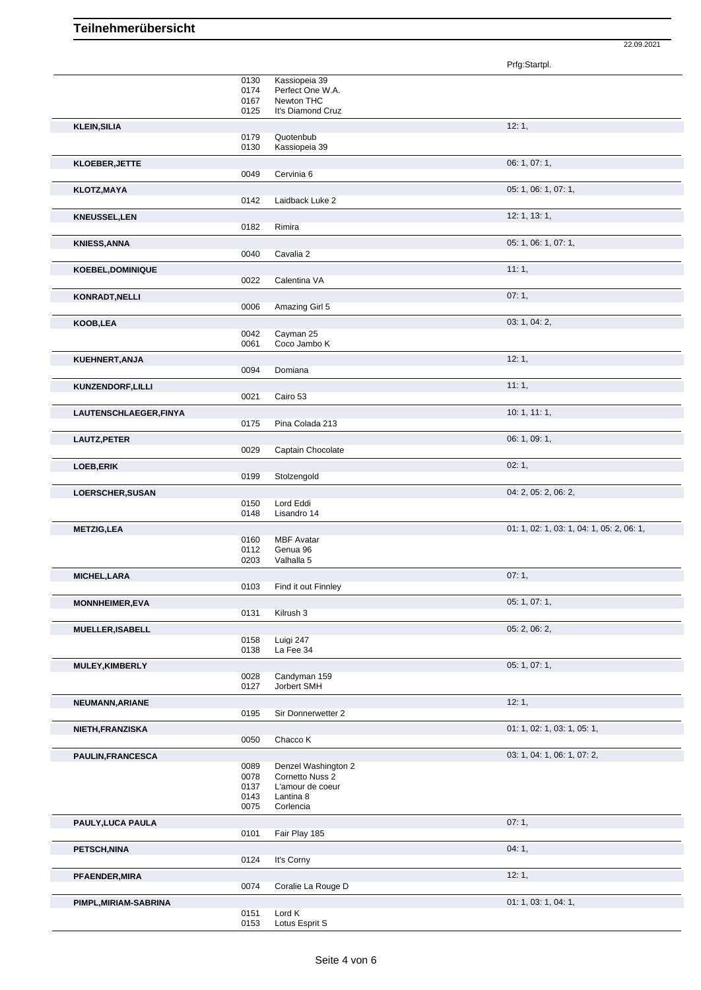|                        |              |                             | Prfg:Startpl.                             |
|------------------------|--------------|-----------------------------|-------------------------------------------|
|                        | 0130         | Kassiopeia 39               |                                           |
|                        | 0174         | Perfect One W.A.            |                                           |
|                        | 0167         | Newton THC                  |                                           |
|                        | 0125         | It's Diamond Cruz           |                                           |
| <b>KLEIN, SILIA</b>    |              |                             | 12:1,                                     |
|                        | 0179         | Quotenbub                   |                                           |
|                        | 0130         | Kassiopeia 39               |                                           |
| <b>KLOEBER, JETTE</b>  |              |                             | 06: 1, 07: 1,                             |
|                        | 0049         | Cervinia 6                  |                                           |
|                        |              |                             |                                           |
| <b>KLOTZ, MAYA</b>     | 0142         | Laidback Luke 2             | 05: 1, 06: 1, 07: 1,                      |
|                        |              |                             |                                           |
| <b>KNEUSSEL,LEN</b>    |              |                             | 12: 1, 13: 1,                             |
|                        | 0182         | Rimira                      |                                           |
| <b>KNIESS, ANNA</b>    |              |                             | 05: 1, 06: 1, 07: 1,                      |
|                        | 0040         | Cavalia 2                   |                                           |
| KOEBEL, DOMINIQUE      |              |                             | 11:1,                                     |
|                        | 0022         | Calentina VA                |                                           |
|                        |              |                             |                                           |
| KONRADT, NELLI         |              |                             | 07:1,                                     |
|                        | 0006         | Amazing Girl 5              |                                           |
| KOOB, LEA              |              |                             | 03: 1, 04: 2,                             |
|                        | 0042         | Cayman 25                   |                                           |
|                        | 0061         | Coco Jambo K                |                                           |
| KUEHNERT, ANJA         |              |                             | 12:1,                                     |
|                        | 0094         | Domiana                     |                                           |
|                        |              |                             |                                           |
| KUNZENDORF, LILLI      |              |                             | 11:1,                                     |
|                        | 0021         | Cairo 53                    |                                           |
| LAUTENSCHLAEGER, FINYA |              |                             | 10: 1, 11: 1,                             |
|                        | 0175         | Pina Colada 213             |                                           |
| <b>LAUTZ, PETER</b>    |              |                             | 06: 1, 09: 1,                             |
|                        | 0029         | Captain Chocolate           |                                           |
|                        |              |                             | 02:1,                                     |
| LOEB, ERIK             | 0199         | Stolzengold                 |                                           |
|                        |              |                             |                                           |
| LOERSCHER, SUSAN       |              |                             | 04: 2, 05: 2, 06: 2,                      |
|                        | 0150         | Lord Eddi                   |                                           |
|                        | 0148         | Lisandro 14                 |                                           |
| <b>METZIG, LEA</b>     |              |                             | 01: 1, 02: 1, 03: 1, 04: 1, 05: 2, 06: 1, |
|                        | 0160         | <b>MBF</b> Avatar           |                                           |
|                        | 0112         | Genua 96                    |                                           |
|                        | 0203         | Valhalla 5                  |                                           |
| MICHEL, LARA           |              |                             | 07:1,                                     |
|                        | 0103         | Find it out Finnley         |                                           |
| <b>MONNHEIMER,EVA</b>  |              |                             | 05: 1, 07: 1,                             |
|                        | 0131         | Kilrush 3                   |                                           |
|                        |              |                             |                                           |
| MUELLER, ISABELL       |              |                             | 05: 2, 06: 2,                             |
|                        | 0158<br>0138 | Luigi 247<br>La Fee 34      |                                           |
|                        |              |                             |                                           |
| MULEY, KIMBERLY        |              |                             | 05: 1, 07: 1,                             |
|                        | 0028         | Candyman 159<br>Jorbert SMH |                                           |
|                        | 0127         |                             |                                           |
| NEUMANN, ARIANE        |              |                             | 12:1,                                     |
|                        | 0195         | Sir Donnerwetter 2          |                                           |
| NIETH, FRANZISKA       |              |                             | 01: 1, 02: 1, 03: 1, 05: 1,               |
|                        | 0050         | Chacco K                    |                                           |
|                        |              |                             | 03: 1, 04: 1, 06: 1, 07: 2,               |
| PAULIN, FRANCESCA      | 0089         | Denzel Washington 2         |                                           |
|                        | 0078         | Cornetto Nuss 2             |                                           |
|                        | 0137         | L'amour de coeur            |                                           |
|                        | 0143         | Lantina 8                   |                                           |
|                        | 0075         | Corlencia                   |                                           |
| PAULY, LUCA PAULA      |              |                             | 07:1,                                     |
|                        | 0101         | Fair Play 185               |                                           |
|                        |              |                             |                                           |
| PETSCH, NINA           |              |                             | 04:1,                                     |
|                        | 0124         | It's Corny                  |                                           |
| PFAENDER, MIRA         |              |                             | 12:1,                                     |
|                        | 0074         | Coralie La Rouge D          |                                           |
| PIMPL, MIRIAM-SABRINA  |              |                             | 01: 1, 03: 1, 04: 1,                      |
|                        | 0151         | Lord K                      |                                           |
|                        | 0153         | Lotus Esprit S              |                                           |

22.09.2021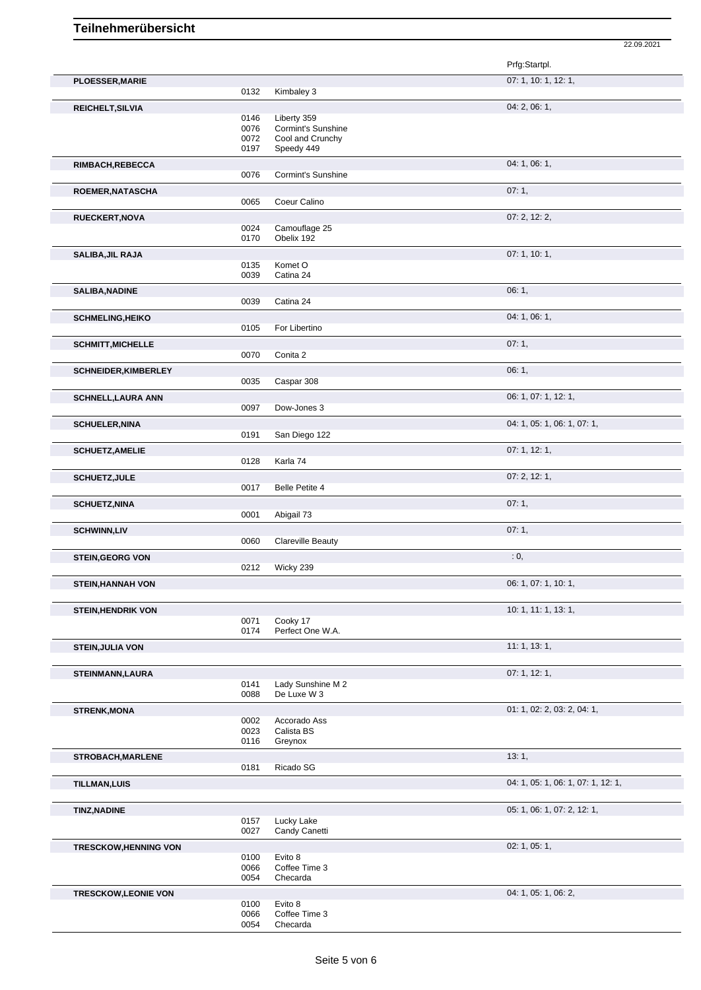|                              |              |                                               | 22.09.2021                         |
|------------------------------|--------------|-----------------------------------------------|------------------------------------|
|                              |              |                                               | Prfg:Startpl.                      |
| PLOESSER, MARIE              |              |                                               | 07: 1, 10: 1, 12: 1,               |
|                              | 0132         | Kimbaley 3                                    |                                    |
| REICHELT, SILVIA             |              |                                               | 04: 2, 06: 1,                      |
|                              | 0146         | Liberty 359                                   |                                    |
|                              | 0076<br>0072 | <b>Cormint's Sunshine</b><br>Cool and Crunchy |                                    |
|                              | 0197         | Speedy 449                                    |                                    |
| RIMBACH, REBECCA             |              |                                               | 04: 1, 06: 1,                      |
|                              | 0076         | Cormint's Sunshine                            |                                    |
| ROEMER, NATASCHA             |              |                                               | 07:1,                              |
|                              | 0065         | Coeur Calino                                  |                                    |
| RUECKERT, NOVA               |              |                                               | 07: 2, 12: 2,                      |
|                              | 0024         | Camouflage 25                                 |                                    |
|                              | 0170         | Obelix 192                                    |                                    |
| <b>SALIBA, JIL RAJA</b>      |              |                                               | 07:1, 10:1,                        |
|                              | 0135         | Komet O                                       |                                    |
|                              | 0039         | Catina 24                                     |                                    |
| <b>SALIBA, NADINE</b>        |              |                                               | 06:1,                              |
|                              | 0039         | Catina 24                                     |                                    |
| <b>SCHMELING, HEIKO</b>      |              |                                               | 04: 1, 06: 1,                      |
|                              | 0105         | For Libertino                                 |                                    |
| <b>SCHMITT, MICHELLE</b>     |              |                                               | 07:1,                              |
|                              | 0070         | Conita 2                                      |                                    |
| <b>SCHNEIDER, KIMBERLEY</b>  |              |                                               | 06:1,                              |
|                              | 0035         | Caspar 308                                    |                                    |
| <b>SCHNELL, LAURA ANN</b>    |              |                                               | 06: 1, 07: 1, 12: 1,               |
|                              | 0097         | Dow-Jones 3                                   |                                    |
| <b>SCHUELER, NINA</b>        |              |                                               | 04: 1, 05: 1, 06: 1, 07: 1,        |
|                              | 0191         | San Diego 122                                 |                                    |
| <b>SCHUETZ, AMELIE</b>       |              |                                               | 07: 1, 12: 1,                      |
|                              | 0128         | Karla 74                                      |                                    |
| <b>SCHUETZ, JULE</b>         |              |                                               | 07: 2, 12: 1,                      |
|                              | 0017         | Belle Petite 4                                |                                    |
| <b>SCHUETZ, NINA</b>         |              |                                               | 07:1,                              |
|                              | 0001         | Abigail 73                                    |                                    |
| <b>SCHWINN,LIV</b>           |              |                                               | 07:1,                              |
|                              | 0060         | <b>Clareville Beauty</b>                      |                                    |
| <b>STEIN, GEORG VON</b>      |              |                                               | : 0,                               |
|                              | 0212         | Wicky 239                                     |                                    |
| <b>STEIN, HANNAH VON</b>     |              |                                               | 06: 1, 07: 1, 10: 1,               |
|                              |              |                                               |                                    |
| <b>STEIN, HENDRIK VON</b>    |              |                                               | 10: 1, 11: 1, 13: 1,               |
|                              | 0071         | Cooky 17                                      |                                    |
|                              | 0174         | Perfect One W.A.                              |                                    |
| <b>STEIN, JULIA VON</b>      |              |                                               | 11:1, 13:1,                        |
|                              |              |                                               |                                    |
| STEINMANN, LAURA             |              |                                               | 07: 1, 12: 1,                      |
|                              | 0141<br>0088 | Lady Sunshine M 2<br>De Luxe W 3              |                                    |
|                              |              |                                               |                                    |
| <b>STRENK, MONA</b>          | 0002         | Accorado Ass                                  | 01: 1, 02: 2, 03: 2, 04: 1,        |
|                              | 0023         | Calista BS                                    |                                    |
|                              | 0116         | Greynox                                       |                                    |
| STROBACH, MARLENE            |              |                                               | 13:1,                              |
|                              | 0181         | Ricado SG                                     |                                    |
| <b>TILLMAN,LUIS</b>          |              |                                               | 04: 1, 05: 1, 06: 1, 07: 1, 12: 1, |
|                              |              |                                               |                                    |
| <b>TINZ, NADINE</b>          |              |                                               | 05: 1, 06: 1, 07: 2, 12: 1,        |
|                              | 0157         | Lucky Lake                                    |                                    |
|                              | 0027         | Candy Canetti                                 |                                    |
| <b>TRESCKOW, HENNING VON</b> |              |                                               | 02: 1, 05: 1,                      |
|                              | 0100         | Evito 8                                       |                                    |
|                              | 0066<br>0054 | Coffee Time 3<br>Checarda                     |                                    |
|                              |              |                                               |                                    |
| <b>TRESCKOW,LEONIE VON</b>   | 0100         | Evito 8                                       | 04: 1, 05: 1, 06: 2,               |
|                              | 0066         | Coffee Time 3                                 |                                    |
|                              | 0054         | Checarda                                      |                                    |